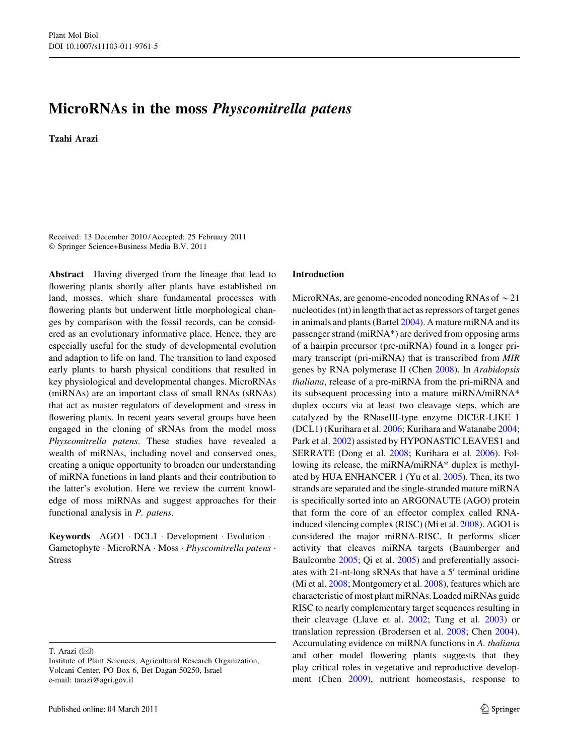# MicroRNAs in the moss Physcomitrella patens

Tzahi Arazi

Received: 13 December 2010 / Accepted: 25 February 2011 - Springer Science+Business Media B.V. 2011

Abstract Having diverged from the lineage that lead to flowering plants shortly after plants have established on land, mosses, which share fundamental processes with flowering plants but underwent little morphological changes by comparison with the fossil records, can be considered as an evolutionary informative place. Hence, they are especially useful for the study of developmental evolution and adaption to life on land. The transition to land exposed early plants to harsh physical conditions that resulted in key physiological and developmental changes. MicroRNAs (miRNAs) are an important class of small RNAs (sRNAs) that act as master regulators of development and stress in flowering plants. In recent years several groups have been engaged in the cloning of sRNAs from the model moss Physcomitrella patens. These studies have revealed a wealth of miRNAs, including novel and conserved ones, creating a unique opportunity to broaden our understanding of miRNA functions in land plants and their contribution to the latter's evolution. Here we review the current knowledge of moss miRNAs and suggest approaches for their functional analysis in P. patens.

Keywords AGO1 · DCL1 · Development · Evolution · Gametophyte · MicroRNA · Moss · Physcomitrella patens · **Stress** 

T. Arazi  $(\boxtimes)$ 

#### Introduction

MicroRNAs, are genome-encoded noncoding RNAs of  $\sim$  21 nucleotides (nt) in length that act as repressors of target genes in animals and plants (Bartel [2004\)](#page-8-0). A mature miRNA and its passenger strand (miRNA\*) are derived from opposing arms of a hairpin precursor (pre-miRNA) found in a longer primary transcript (pri-miRNA) that is transcribed from MIR genes by RNA polymerase II (Chen [2008\)](#page-8-0). In Arabidopsis thaliana, release of a pre-miRNA from the pri-miRNA and its subsequent processing into a mature miRNA/miRNA\* duplex occurs via at least two cleavage steps, which are catalyzed by the RNaseIII-type enzyme DICER-LIKE 1 (DCL1) (Kurihara et al. [2006](#page-9-0); Kurihara and Watanabe [2004](#page-9-0); Park et al. [2002](#page-9-0)) assisted by HYPONASTIC LEAVES1 and SERRATE (Dong et al. [2008;](#page-8-0) Kurihara et al. [2006](#page-9-0)). Following its release, the miRNA/miRNA\* duplex is methylated by HUA ENHANCER 1 (Yu et al. [2005](#page-10-0)). Then, its two strands are separated and the single-stranded mature miRNA is specifically sorted into an ARGONAUTE (AGO) protein that form the core of an effector complex called RNAinduced silencing complex (RISC) (Mi et al. [2008\)](#page-9-0). AGO1 is considered the major miRNA-RISC. It performs slicer activity that cleaves miRNA targets (Baumberger and Baulcombe [2005;](#page-8-0) Qi et al. [2005\)](#page-9-0) and preferentially associates with 21-nt-long sRNAs that have a  $5'$  terminal uridine (Mi et al. [2008](#page-9-0); Montgomery et al. [2008](#page-9-0)), features which are characteristic of most plant miRNAs. Loaded miRNAs guide RISC to nearly complementary target sequences resulting in their cleavage (Llave et al. [2002;](#page-9-0) Tang et al. [2003\)](#page-9-0) or translation repression (Brodersen et al. [2008;](#page-8-0) Chen [2004](#page-8-0)). Accumulating evidence on miRNA functions in A. thaliana and other model flowering plants suggests that they play critical roles in vegetative and reproductive development (Chen [2009\)](#page-8-0), nutrient homeostasis, response to

Institute of Plant Sciences, Agricultural Research Organization, Volcani Center, PO Box 6, Bet Dagan 50250, Israel e-mail: tarazi@agri.gov.il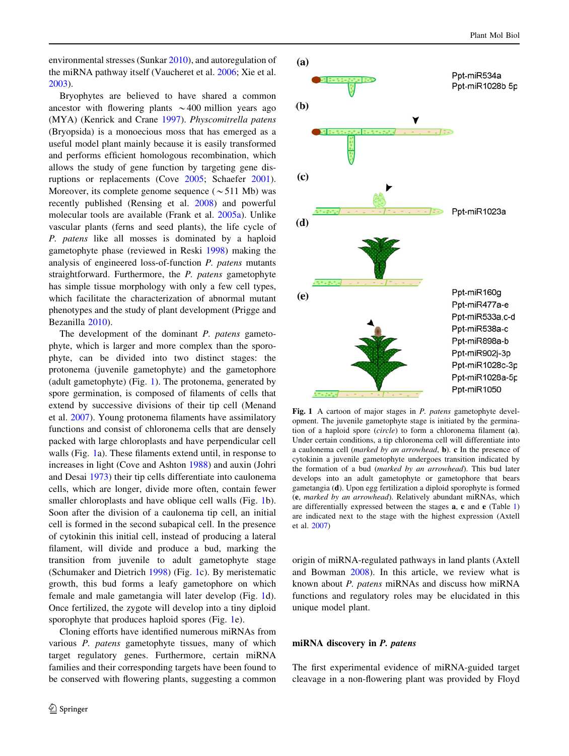<span id="page-1-0"></span>environmental stresses (Sunkar [2010\)](#page-9-0), and autoregulation of the miRNA pathway itself (Vaucheret et al. [2006](#page-10-0); Xie et al. [2003\)](#page-10-0).

Bryophytes are believed to have shared a common ancestor with flowering plants  $\sim$  400 million years ago (MYA) (Kenrick and Crane [1997](#page-9-0)). Physcomitrella patens (Bryopsida) is a monoecious moss that has emerged as a useful model plant mainly because it is easily transformed and performs efficient homologous recombination, which allows the study of gene function by targeting gene disruptions or replacements (Cove [2005](#page-8-0); Schaefer [2001](#page-9-0)). Moreover, its complete genome sequence ( $\sim$  511 Mb) was recently published (Rensing et al. [2008\)](#page-9-0) and powerful molecular tools are available (Frank et al. [2005a](#page-8-0)). Unlike vascular plants (ferns and seed plants), the life cycle of P. patens like all mosses is dominated by a haploid gametophyte phase (reviewed in Reski [1998\)](#page-9-0) making the analysis of engineered loss-of-function P. patens mutants straightforward. Furthermore, the P. patens gametophyte has simple tissue morphology with only a few cell types, which facilitate the characterization of abnormal mutant phenotypes and the study of plant development (Prigge and Bezanilla [2010](#page-9-0)).

The development of the dominant P. patens gametophyte, which is larger and more complex than the sporophyte, can be divided into two distinct stages: the protonema (juvenile gametophyte) and the gametophore (adult gametophyte) (Fig. 1). The protonema, generated by spore germination, is composed of filaments of cells that extend by successive divisions of their tip cell (Menand et al. [2007\)](#page-9-0). Young protonema filaments have assimilatory functions and consist of chloronema cells that are densely packed with large chloroplasts and have perpendicular cell walls (Fig. 1a). These filaments extend until, in response to increases in light (Cove and Ashton [1988\)](#page-8-0) and auxin (Johri and Desai [1973\)](#page-8-0) their tip cells differentiate into caulonema cells, which are longer, divide more often, contain fewer smaller chloroplasts and have oblique cell walls (Fig. 1b). Soon after the division of a caulonema tip cell, an initial cell is formed in the second subapical cell. In the presence of cytokinin this initial cell, instead of producing a lateral filament, will divide and produce a bud, marking the transition from juvenile to adult gametophyte stage (Schumaker and Dietrich [1998\)](#page-9-0) (Fig. 1c). By meristematic growth, this bud forms a leafy gametophore on which female and male gametangia will later develop (Fig. 1d). Once fertilized, the zygote will develop into a tiny diploid sporophyte that produces haploid spores (Fig. 1e).

Cloning efforts have identified numerous miRNAs from various P. patens gametophyte tissues, many of which target regulatory genes. Furthermore, certain miRNA families and their corresponding targets have been found to be conserved with flowering plants, suggesting a common



Fig. 1 A cartoon of major stages in P. patens gametophyte development. The juvenile gametophyte stage is initiated by the germination of a haploid spore (circle) to form a chloronema filament (a). Under certain conditions, a tip chloronema cell will differentiate into a caulonema cell (marked by an arrowhead, b). c In the presence of cytokinin a juvenile gametophyte undergoes transition indicated by the formation of a bud (marked by an arrowhead). This bud later develops into an adult gametophyte or gametophore that bears gametangia (d). Upon egg fertilization a diploid sporophyte is formed (e, marked by an arrowhead). Relatively abundant miRNAs, which are differentially expressed between the stages a, c and e (Table [1](#page-4-0)) are indicated next to the stage with the highest expression (Axtell et al. [2007](#page-8-0))

origin of miRNA-regulated pathways in land plants (Axtell and Bowman [2008\)](#page-8-0). In this article, we review what is known about P. patens miRNAs and discuss how miRNA functions and regulatory roles may be elucidated in this unique model plant.

## miRNA discovery in P. patens

The first experimental evidence of miRNA-guided target cleavage in a non-flowering plant was provided by Floyd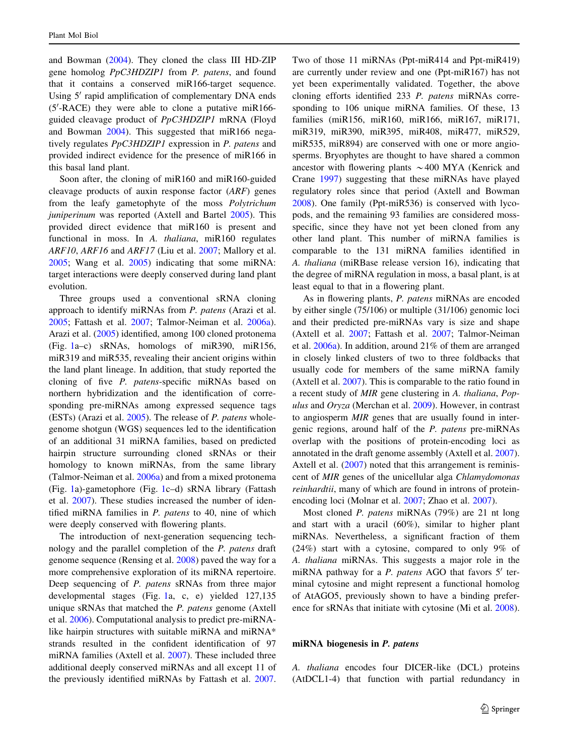and Bowman [\(2004](#page-8-0)). They cloned the class III HD-ZIP gene homolog PpC3HDZIP1 from P. patens, and found that it contains a conserved miR166-target sequence. Using 5' rapid amplification of complementary DNA ends  $(5'$ -RACE) they were able to clone a putative miR166guided cleavage product of PpC3HDZIP1 mRNA (Floyd and Bowman [2004\)](#page-8-0). This suggested that miR166 negatively regulates PpC3HDZIP1 expression in P. patens and provided indirect evidence for the presence of miR166 in this basal land plant.

Soon after, the cloning of miR160 and miR160-guided cleavage products of auxin response factor (ARF) genes from the leafy gametophyte of the moss Polytrichum juniperinum was reported (Axtell and Bartel [2005](#page-8-0)). This provided direct evidence that miR160 is present and functional in moss. In A. thaliana, miR160 regulates ARF10, ARF16 and ARF17 (Liu et al. [2007](#page-9-0); Mallory et al. [2005;](#page-9-0) Wang et al. [2005\)](#page-10-0) indicating that some miRNA: target interactions were deeply conserved during land plant evolution.

Three groups used a conventional sRNA cloning approach to identify miRNAs from P. patens (Arazi et al. [2005;](#page-8-0) Fattash et al. [2007](#page-8-0); Talmor-Neiman et al. [2006a](#page-9-0)). Arazi et al. [\(2005](#page-8-0)) identified, among 100 cloned protonema (Fig. [1](#page-1-0)a–c) sRNAs, homologs of miR390, miR156, miR319 and miR535, revealing their ancient origins within the land plant lineage. In addition, that study reported the cloning of five P. patens-specific miRNAs based on northern hybridization and the identification of corresponding pre-miRNAs among expressed sequence tags (ESTs) (Arazi et al. [2005\)](#page-8-0). The release of P. patens wholegenome shotgun (WGS) sequences led to the identification of an additional 31 miRNA families, based on predicted hairpin structure surrounding cloned sRNAs or their homology to known miRNAs, from the same library (Talmor-Neiman et al. [2006a\)](#page-9-0) and from a mixed protonema (Fig. [1](#page-1-0)a)-gametophore (Fig. [1c](#page-1-0)–d) sRNA library (Fattash et al. [2007\)](#page-8-0). These studies increased the number of identified miRNA families in P. patens to 40, nine of which were deeply conserved with flowering plants.

The introduction of next-generation sequencing technology and the parallel completion of the P. patens draft genome sequence (Rensing et al. [2008\)](#page-9-0) paved the way for a more comprehensive exploration of its miRNA repertoire. Deep sequencing of *P. patens* sRNAs from three major developmental stages (Fig. [1](#page-1-0)a, c, e) yielded 127,135 unique sRNAs that matched the P. patens genome (Axtell et al. [2006\)](#page-8-0). Computational analysis to predict pre-miRNAlike hairpin structures with suitable miRNA and miRNA\* strands resulted in the confident identification of 97 miRNA families (Axtell et al. [2007\)](#page-8-0). These included three additional deeply conserved miRNAs and all except 11 of the previously identified miRNAs by Fattash et al. [2007.](#page-8-0)

Two of those 11 miRNAs (Ppt-miR414 and Ppt-miR419) are currently under review and one (Ppt-miR167) has not yet been experimentally validated. Together, the above cloning efforts identified 233 P. patens miRNAs corresponding to 106 unique miRNA families. Of these, 13 families (miR156, miR160, miR166, miR167, miR171, miR319, miR390, miR395, miR408, miR477, miR529, miR535, miR894) are conserved with one or more angiosperms. Bryophytes are thought to have shared a common ancestor with flowering plants  $\sim$  400 MYA (Kenrick and Crane [1997\)](#page-9-0) suggesting that these miRNAs have played regulatory roles since that period (Axtell and Bowman [2008](#page-8-0)). One family (Ppt-miR536) is conserved with lycopods, and the remaining 93 families are considered mossspecific, since they have not yet been cloned from any other land plant. This number of miRNA families is comparable to the 131 miRNA families identified in A. thaliana (miRBase release version 16), indicating that the degree of miRNA regulation in moss, a basal plant, is at least equal to that in a flowering plant.

As in flowering plants, P. patens miRNAs are encoded by either single (75/106) or multiple (31/106) genomic loci and their predicted pre-miRNAs vary is size and shape (Axtell et al. [2007](#page-8-0); Fattash et al. [2007](#page-8-0); Talmor-Neiman et al. [2006a\)](#page-9-0). In addition, around 21% of them are arranged in closely linked clusters of two to three foldbacks that usually code for members of the same miRNA family (Axtell et al. [2007\)](#page-8-0). This is comparable to the ratio found in a recent study of MIR gene clustering in A. thaliana, Populus and Oryza (Merchan et al. [2009](#page-9-0)). However, in contrast to angiosperm MIR genes that are usually found in intergenic regions, around half of the P. patens pre-miRNAs overlap with the positions of protein-encoding loci as annotated in the draft genome assembly (Axtell et al. [2007](#page-8-0)). Axtell et al. ([2007\)](#page-8-0) noted that this arrangement is reminiscent of MIR genes of the unicellular alga Chlamydomonas reinhardtii, many of which are found in introns of proteinencoding loci (Molnar et al. [2007;](#page-9-0) Zhao et al. [2007](#page-10-0)).

Most cloned P. patens miRNAs (79%) are 21 nt long and start with a uracil (60%), similar to higher plant miRNAs. Nevertheless, a significant fraction of them (24%) start with a cytosine, compared to only 9% of A. thaliana miRNAs. This suggests a major role in the miRNA pathway for a  $P$ . patens AGO that favors  $5'$  terminal cytosine and might represent a functional homolog of AtAGO5, previously shown to have a binding preference for sRNAs that initiate with cytosine (Mi et al. [2008](#page-9-0)).

## miRNA biogenesis in P. patens

A. thaliana encodes four DICER-like (DCL) proteins (AtDCL1-4) that function with partial redundancy in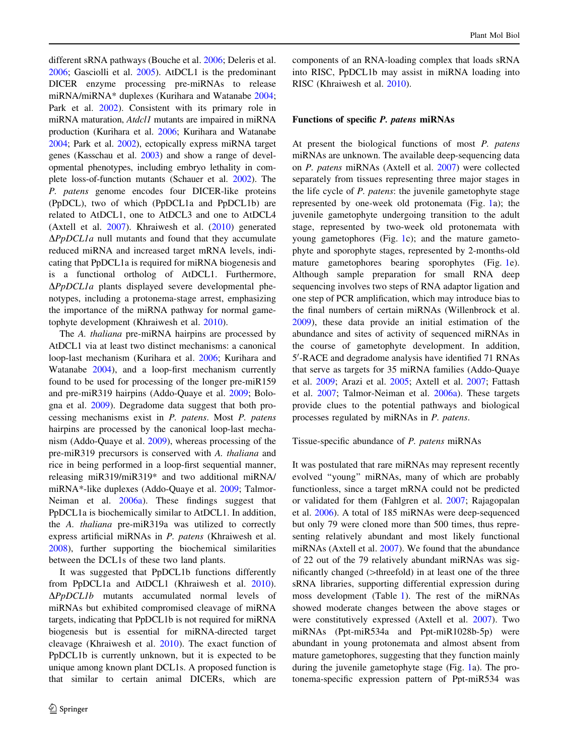different sRNA pathways (Bouche et al. [2006](#page-8-0); Deleris et al. [2006;](#page-8-0) Gasciolli et al. [2005\)](#page-8-0). AtDCL1 is the predominant DICER enzyme processing pre-miRNAs to release miRNA/miRNA\* duplexes (Kurihara and Watanabe [2004](#page-9-0); Park et al. [2002\)](#page-9-0). Consistent with its primary role in miRNA maturation, Atdcl1 mutants are impaired in miRNA production (Kurihara et al. [2006;](#page-9-0) Kurihara and Watanabe [2004;](#page-9-0) Park et al. [2002\)](#page-9-0), ectopically express miRNA target genes (Kasschau et al. [2003](#page-9-0)) and show a range of developmental phenotypes, including embryo lethality in complete loss-of-function mutants (Schauer et al. [2002](#page-9-0)). The P. patens genome encodes four DICER-like proteins (PpDCL), two of which (PpDCL1a and PpDCL1b) are related to AtDCL1, one to AtDCL3 and one to AtDCL4 (Axtell et al. [2007\)](#page-8-0). Khraiwesh et al. ([2010\)](#page-9-0) generated  $\Delta PpDCL1a$  null mutants and found that they accumulate reduced miRNA and increased target mRNA levels, indicating that PpDCL1a is required for miRNA biogenesis and is a functional ortholog of AtDCL1. Furthermore,  $\Delta PpDCL1a$  plants displayed severe developmental phenotypes, including a protonema-stage arrest, emphasizing the importance of the miRNA pathway for normal gametophyte development (Khraiwesh et al. [2010](#page-9-0)).

The A. thaliana pre-miRNA hairpins are processed by AtDCL1 via at least two distinct mechanisms: a canonical loop-last mechanism (Kurihara et al. [2006](#page-9-0); Kurihara and Watanabe [2004\)](#page-9-0), and a loop-first mechanism currently found to be used for processing of the longer pre-miR159 and pre-miR319 hairpins (Addo-Quaye et al. [2009;](#page-7-0) Bologna et al. [2009](#page-8-0)). Degradome data suggest that both processing mechanisms exist in P. patens. Most P. patens hairpins are processed by the canonical loop-last mechanism (Addo-Quaye et al. [2009\)](#page-7-0), whereas processing of the pre-miR319 precursors is conserved with A. thaliana and rice in being performed in a loop-first sequential manner, releasing miR319/miR319\* and two additional miRNA/ miRNA\*-like duplexes (Addo-Quaye et al. [2009](#page-7-0); Talmor-Neiman et al. [2006a](#page-9-0)). These findings suggest that PpDCL1a is biochemically similar to AtDCL1. In addition, the A. thaliana pre-miR319a was utilized to correctly express artificial miRNAs in P. patens (Khraiwesh et al. [2008\)](#page-9-0), further supporting the biochemical similarities between the DCL1s of these two land plants.

It was suggested that PpDCL1b functions differently from PpDCL1a and AtDCL1 (Khraiwesh et al. [2010](#page-9-0)).  $\Delta PpDCL1b$  mutants accumulated normal levels of miRNAs but exhibited compromised cleavage of miRNA targets, indicating that PpDCL1b is not required for miRNA biogenesis but is essential for miRNA-directed target cleavage (Khraiwesh et al. [2010](#page-9-0)). The exact function of PpDCL1b is currently unknown, but it is expected to be unique among known plant DCL1s. A proposed function is that similar to certain animal DICERs, which are components of an RNA-loading complex that loads sRNA into RISC, PpDCL1b may assist in miRNA loading into RISC (Khraiwesh et al. [2010](#page-9-0)).

### Functions of specific P. patens miRNAs

At present the biological functions of most P. patens miRNAs are unknown. The available deep-sequencing data on P. patens miRNAs (Axtell et al. [2007\)](#page-8-0) were collected separately from tissues representing three major stages in the life cycle of P. patens: the juvenile gametophyte stage represented by one-week old protonemata (Fig. [1](#page-1-0)a); the juvenile gametophyte undergoing transition to the adult stage, represented by two-week old protonemata with young gametophores (Fig. [1](#page-1-0)c); and the mature gametophyte and sporophyte stages, represented by 2-months-old mature gametophores bearing sporophytes (Fig. [1e](#page-1-0)). Although sample preparation for small RNA deep sequencing involves two steps of RNA adaptor ligation and one step of PCR amplification, which may introduce bias to the final numbers of certain miRNAs (Willenbrock et al. [2009](#page-10-0)), these data provide an initial estimation of the abundance and sites of activity of sequenced miRNAs in the course of gametophyte development. In addition, 5'-RACE and degradome analysis have identified 71 RNAs that serve as targets for 35 miRNA families (Addo-Quaye et al. [2009;](#page-7-0) Arazi et al. [2005](#page-8-0); Axtell et al. [2007;](#page-8-0) Fattash et al. [2007](#page-8-0); Talmor-Neiman et al. [2006a\)](#page-9-0). These targets provide clues to the potential pathways and biological processes regulated by miRNAs in P. patens.

#### Tissue-specific abundance of P. patens miRNAs

It was postulated that rare miRNAs may represent recently evolved ''young'' miRNAs, many of which are probably functionless, since a target mRNA could not be predicted or validated for them (Fahlgren et al. [2007](#page-8-0); Rajagopalan et al. [2006](#page-9-0)). A total of 185 miRNAs were deep-sequenced but only 79 were cloned more than 500 times, thus representing relatively abundant and most likely functional miRNAs (Axtell et al. [2007\)](#page-8-0). We found that the abundance of 22 out of the 79 relatively abundant miRNAs was significantly changed  $(\gt$ threefold) in at least one of the three sRNA libraries, supporting differential expression during moss development (Table [1](#page-4-0)). The rest of the miRNAs showed moderate changes between the above stages or were constitutively expressed (Axtell et al. [2007](#page-8-0)). Two miRNAs (Ppt-miR534a and Ppt-miR1028b-5p) were abundant in young protonemata and almost absent from mature gametophores, suggesting that they function mainly during the juvenile gametophyte stage (Fig. [1a](#page-1-0)). The protonema-specific expression pattern of Ppt-miR534 was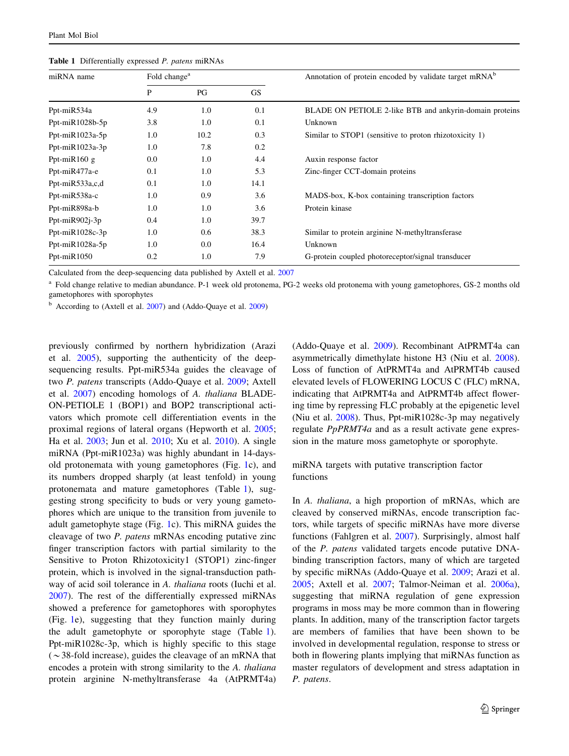<span id="page-4-0"></span>

|  | <b>Table 1</b> Differentially expressed <i>P. patens</i> miRNAs |  |  |  |  |
|--|-----------------------------------------------------------------|--|--|--|--|
|--|-----------------------------------------------------------------|--|--|--|--|

| miRNA name         | Fold change <sup>a</sup> |      |           | Annotation of protein encoded by validate target mRNA <sup>b</sup> |  |  |
|--------------------|--------------------------|------|-----------|--------------------------------------------------------------------|--|--|
|                    | P                        | PG   | <b>GS</b> |                                                                    |  |  |
| Ppt-miR534a        | 4.9                      | 1.0  | 0.1       | BLADE ON PETIOLE 2-like BTB and ankyrin-domain proteins            |  |  |
| $Ppt-miR1028b-5p$  | 3.8                      | 1.0  | 0.1       | Unknown                                                            |  |  |
| Ppt-mi $R1023a-5p$ | 1.0                      | 10.2 | 0.3       | Similar to STOP1 (sensitive to proton rhizotoxicity 1)             |  |  |
| Ppt-mi $R1023a-3p$ | 1.0                      | 7.8  | 0.2       |                                                                    |  |  |
| Ppt-miR160 $g$     | 0.0                      | 1.0  | 4.4       | Auxin response factor                                              |  |  |
| Ppt-miR477a-e      | 0.1                      | 1.0  | 5.3       | Zinc-finger CCT-domain proteins                                    |  |  |
| Ppt-miR533a,c,d    | 0.1                      | 1.0  | 14.1      |                                                                    |  |  |
| Ppt-miR538a-c      | 1.0                      | 0.9  | 3.6       | MADS-box, K-box containing transcription factors                   |  |  |
| Ppt-miR898a-b      | 1.0                      | 1.0  | 3.6       | Protein kinase                                                     |  |  |
| Ppt- $miR902j-3p$  | 0.4                      | 1.0  | 39.7      |                                                                    |  |  |
| $Ppt-miR1028c-3p$  | 1.0                      | 0.6  | 38.3      | Similar to protein arginine N-methyltransferase                    |  |  |
| Ppt- $miR1028a-5p$ | 1.0                      | 0.0  | 16.4      | Unknown                                                            |  |  |
| $Ppt-miR1050$      | 0.2                      | 1.0  | 7.9       | G-protein coupled photoreceptor/signal transducer                  |  |  |

Calculated from the deep-sequencing data published by Axtell et al. [2007](#page-8-0)

<sup>a</sup> Fold change relative to median abundance. P-1 week old protonema, PG-2 weeks old protonema with young gametophores, GS-2 months old gametophores with sporophytes

<sup>b</sup> According to (Axtell et al. [2007](#page-8-0)) and (Addo-Quaye et al. [2009\)](#page-7-0)

previously confirmed by northern hybridization (Arazi et al. [2005\)](#page-8-0), supporting the authenticity of the deepsequencing results. Ppt-miR534a guides the cleavage of two P. patens transcripts (Addo-Quaye et al. [2009;](#page-7-0) Axtell et al. [2007\)](#page-8-0) encoding homologs of A. thaliana BLADE-ON-PETIOLE 1 (BOP1) and BOP2 transcriptional activators which promote cell differentiation events in the proximal regions of lateral organs (Hepworth et al. [2005](#page-8-0); Ha et al. [2003](#page-8-0); Jun et al. [2010;](#page-8-0) Xu et al. [2010](#page-10-0)). A single miRNA (Ppt-miR1023a) was highly abundant in 14-daysold protonemata with young gametophores (Fig. [1](#page-1-0)c), and its numbers dropped sharply (at least tenfold) in young protonemata and mature gametophores (Table 1), suggesting strong specificity to buds or very young gametophores which are unique to the transition from juvenile to adult gametophyte stage (Fig. [1c](#page-1-0)). This miRNA guides the cleavage of two P. patens mRNAs encoding putative zinc finger transcription factors with partial similarity to the Sensitive to Proton Rhizotoxicity1 (STOP1) zinc-finger protein, which is involved in the signal-transduction pathway of acid soil tolerance in A. thaliana roots (Iuchi et al. [2007\)](#page-8-0). The rest of the differentially expressed miRNAs showed a preference for gametophores with sporophytes (Fig. [1](#page-1-0)e), suggesting that they function mainly during the adult gametophyte or sporophyte stage (Table 1). Ppt-miR1028c-3p, which is highly specific to this stage  $(\sim$ 38-fold increase), guides the cleavage of an mRNA that encodes a protein with strong similarity to the A. thaliana protein arginine N-methyltransferase 4a (AtPRMT4a) (Addo-Quaye et al. [2009](#page-7-0)). Recombinant AtPRMT4a can asymmetrically dimethylate histone H3 (Niu et al. [2008](#page-9-0)). Loss of function of AtPRMT4a and AtPRMT4b caused elevated levels of FLOWERING LOCUS C (FLC) mRNA, indicating that AtPRMT4a and AtPRMT4b affect flowering time by repressing FLC probably at the epigenetic level (Niu et al. [2008\)](#page-9-0). Thus, Ppt-miR1028c-3p may negatively regulate PpPRMT4a and as a result activate gene expression in the mature moss gametophyte or sporophyte.

miRNA targets with putative transcription factor functions

In A. *thaliana*, a high proportion of mRNAs, which are cleaved by conserved miRNAs, encode transcription factors, while targets of specific miRNAs have more diverse functions (Fahlgren et al. [2007\)](#page-8-0). Surprisingly, almost half of the P. patens validated targets encode putative DNAbinding transcription factors, many of which are targeted by specific miRNAs (Addo-Quaye et al. [2009;](#page-7-0) Arazi et al. [2005](#page-8-0); Axtell et al. [2007](#page-8-0); Talmor-Neiman et al. [2006a](#page-9-0)), suggesting that miRNA regulation of gene expression programs in moss may be more common than in flowering plants. In addition, many of the transcription factor targets are members of families that have been shown to be involved in developmental regulation, response to stress or both in flowering plants implying that miRNAs function as master regulators of development and stress adaptation in P. patens.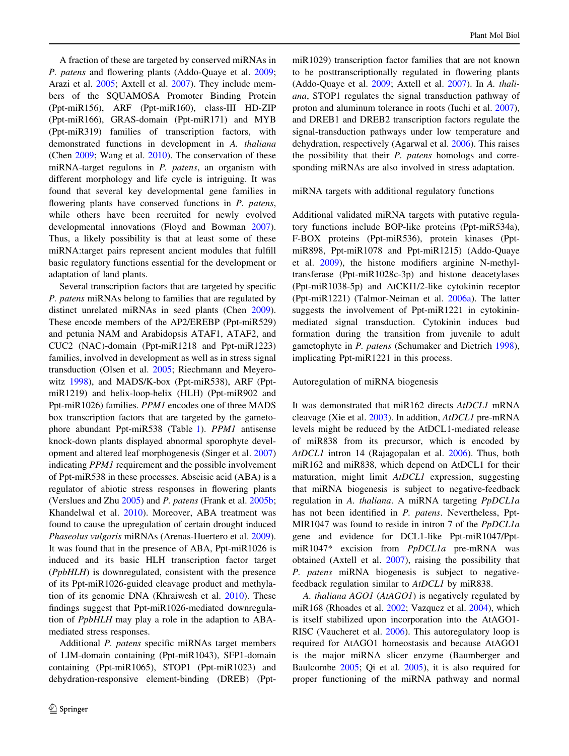A fraction of these are targeted by conserved miRNAs in P. patens and flowering plants (Addo-Quaye et al. [2009](#page-7-0); Arazi et al. [2005;](#page-8-0) Axtell et al. [2007](#page-8-0)). They include members of the SQUAMOSA Promoter Binding Protein (Ppt-miR156), ARF (Ppt-miR160), class-III HD-ZIP (Ppt-miR166), GRAS-domain (Ppt-miR171) and MYB (Ppt-miR319) families of transcription factors, with demonstrated functions in development in A. thaliana (Chen [2009;](#page-8-0) Wang et al. [2010](#page-10-0)). The conservation of these miRNA-target regulons in P. patens, an organism with different morphology and life cycle is intriguing. It was found that several key developmental gene families in flowering plants have conserved functions in P. patens, while others have been recruited for newly evolved developmental innovations (Floyd and Bowman [2007](#page-8-0)). Thus, a likely possibility is that at least some of these miRNA:target pairs represent ancient modules that fulfill basic regulatory functions essential for the development or adaptation of land plants.

Several transcription factors that are targeted by specific P. patens miRNAs belong to families that are regulated by distinct unrelated miRNAs in seed plants (Chen [2009](#page-8-0)). These encode members of the AP2/EREBP (Ppt-miR529) and petunia NAM and Arabidopsis ATAF1, ATAF2, and CUC2 (NAC)-domain (Ppt-miR1218 and Ppt-miR1223) families, involved in development as well as in stress signal transduction (Olsen et al. [2005;](#page-9-0) Riechmann and Meyerowitz [1998\)](#page-9-0), and MADS/K-box (Ppt-miR538), ARF (PptmiR1219) and helix-loop-helix (HLH) (Ppt-miR902 and Ppt-miR1026) families. PPM1 encodes one of three MADS box transcription factors that are targeted by the gametophore abundant Ppt-miR538 (Table [1](#page-4-0)). PPM1 antisense knock-down plants displayed abnormal sporophyte development and altered leaf morphogenesis (Singer et al. [2007\)](#page-9-0) indicating PPM1 requirement and the possible involvement of Ppt-miR538 in these processes. Abscisic acid (ABA) is a regulator of abiotic stress responses in flowering plants (Verslues and Zhu [2005](#page-10-0)) and P. patens (Frank et al. [2005b](#page-8-0); Khandelwal et al. [2010](#page-9-0)). Moreover, ABA treatment was found to cause the upregulation of certain drought induced Phaseolus vulgaris miRNAs (Arenas-Huertero et al. [2009](#page-8-0)). It was found that in the presence of ABA, Ppt-miR1026 is induced and its basic HLH transcription factor target (PpbHLH) is downregulated, consistent with the presence of its Ppt-miR1026-guided cleavage product and methylation of its genomic DNA (Khraiwesh et al. [2010](#page-9-0)). These findings suggest that Ppt-miR1026-mediated downregulation of PpbHLH may play a role in the adaption to ABAmediated stress responses.

Additional P. patens specific miRNAs target members of LIM-domain containing (Ppt-miR1043), SFP1-domain containing (Ppt-miR1065), STOP1 (Ppt-miR1023) and dehydration-responsive element-binding (DREB) (Ppt-

miR1029) transcription factor families that are not known to be posttranscriptionally regulated in flowering plants (Addo-Quaye et al. [2009](#page-7-0); Axtell et al. [2007\)](#page-8-0). In A. thaliana, STOP1 regulates the signal transduction pathway of proton and aluminum tolerance in roots (Iuchi et al. [2007](#page-8-0)), and DREB1 and DREB2 transcription factors regulate the signal-transduction pathways under low temperature and dehydration, respectively (Agarwal et al. [2006\)](#page-8-0). This raises the possibility that their *P. patens* homologs and corresponding miRNAs are also involved in stress adaptation.

miRNA targets with additional regulatory functions

Additional validated miRNA targets with putative regulatory functions include BOP-like proteins (Ppt-miR534a), F-BOX proteins (Ppt-miR536), protein kinases (PptmiR898, Ppt-miR1078 and Ppt-miR1215) (Addo-Quaye et al. [2009](#page-7-0)), the histone modifiers arginine N-methyltransferase (Ppt-miR1028c-3p) and histone deacetylases (Ppt-miR1038-5p) and AtCKI1/2-like cytokinin receptor (Ppt-miR1221) (Talmor-Neiman et al. [2006a](#page-9-0)). The latter suggests the involvement of Ppt-miR1221 in cytokininmediated signal transduction. Cytokinin induces bud formation during the transition from juvenile to adult gametophyte in P. patens (Schumaker and Dietrich [1998](#page-9-0)), implicating Ppt-miR1221 in this process.

## Autoregulation of miRNA biogenesis

It was demonstrated that miR162 directs AtDCL1 mRNA cleavage (Xie et al. [2003](#page-10-0)). In addition, AtDCL1 pre-mRNA levels might be reduced by the AtDCL1-mediated release of miR838 from its precursor, which is encoded by AtDCL1 intron 14 (Rajagopalan et al. [2006\)](#page-9-0). Thus, both miR162 and miR838, which depend on AtDCL1 for their maturation, might limit AtDCL1 expression, suggesting that miRNA biogenesis is subject to negative-feedback regulation in A. thaliana. A miRNA targeting PpDCL1a has not been identified in P. patens. Nevertheless, Ppt-MIR1047 was found to reside in intron 7 of the *PpDCL1a* gene and evidence for DCL1-like Ppt-miR1047/PptmiR1047\* excision from PpDCL1a pre-mRNA was obtained (Axtell et al. [2007](#page-8-0)), raising the possibility that P. patens miRNA biogenesis is subject to negativefeedback regulation similar to AtDCL1 by miR838.

A. thaliana AGO1 (AtAGO1) is negatively regulated by miR168 (Rhoades et al. [2002;](#page-9-0) Vazquez et al. [2004](#page-10-0)), which is itself stabilized upon incorporation into the AtAGO1- RISC (Vaucheret et al. [2006\)](#page-10-0). This autoregulatory loop is required for AtAGO1 homeostasis and because AtAGO1 is the major miRNA slicer enzyme (Baumberger and Baulcombe [2005](#page-8-0); Qi et al. [2005](#page-9-0)), it is also required for proper functioning of the miRNA pathway and normal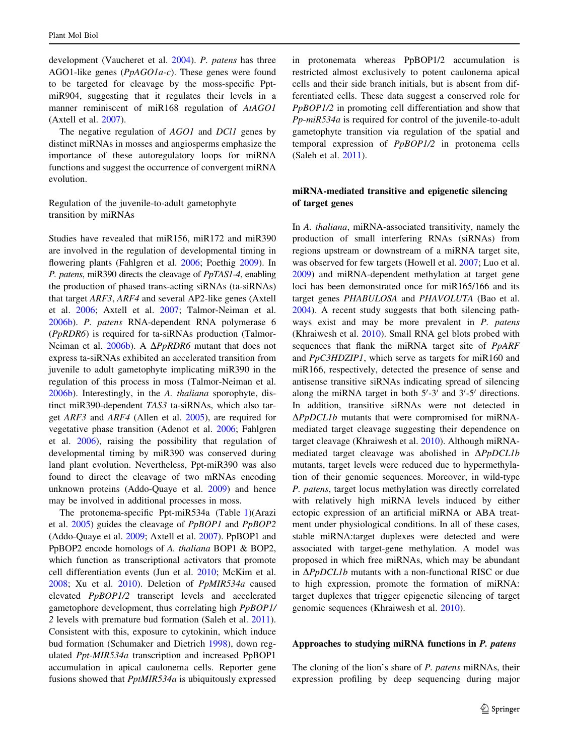development (Vaucheret et al. [2004\)](#page-10-0). P. patens has three AGO1-like genes (PpAGO1a-c). These genes were found to be targeted for cleavage by the moss-specific PptmiR904, suggesting that it regulates their levels in a manner reminiscent of miR168 regulation of AtAGO1 (Axtell et al. [2007](#page-8-0)).

The negative regulation of AGO1 and DCl1 genes by distinct miRNAs in mosses and angiosperms emphasize the importance of these autoregulatory loops for miRNA functions and suggest the occurrence of convergent miRNA evolution.

Regulation of the juvenile-to-adult gametophyte transition by miRNAs

Studies have revealed that miR156, miR172 and miR390 are involved in the regulation of developmental timing in flowering plants (Fahlgren et al. [2006](#page-8-0); Poethig [2009\)](#page-9-0). In P. patens, miR390 directs the cleavage of PpTAS1-4, enabling the production of phased trans-acting siRNAs (ta-siRNAs) that target ARF3, ARF4 and several AP2-like genes (Axtell et al. [2006;](#page-8-0) Axtell et al. [2007](#page-8-0); Talmor-Neiman et al. [2006b\)](#page-9-0). P. patens RNA-dependent RNA polymerase 6 (PpRDR6) is required for ta-siRNAs production (Talmor-Neiman et al. [2006b](#page-9-0)). A  $\Delta PpRDR6$  mutant that does not express ta-siRNAs exhibited an accelerated transition from juvenile to adult gametophyte implicating miR390 in the regulation of this process in moss (Talmor-Neiman et al. [2006b\)](#page-9-0). Interestingly, in the A. thaliana sporophyte, distinct miR390-dependent TAS3 ta-siRNAs, which also target ARF3 and ARF4 (Allen et al. [2005](#page-8-0)), are required for vegetative phase transition (Adenot et al. [2006;](#page-8-0) Fahlgren et al. [2006\)](#page-8-0), raising the possibility that regulation of developmental timing by miR390 was conserved during land plant evolution. Nevertheless, Ppt-miR390 was also found to direct the cleavage of two mRNAs encoding unknown proteins (Addo-Quaye et al. [2009\)](#page-7-0) and hence may be involved in additional processes in moss.

The protonema-specific Ppt-miR534a (Table [1](#page-4-0))(Arazi et al. [2005\)](#page-8-0) guides the cleavage of PpBOP1 and PpBOP2 (Addo-Quaye et al. [2009;](#page-7-0) Axtell et al. [2007](#page-8-0)). PpBOP1 and PpBOP2 encode homologs of A. thaliana BOP1 & BOP2, which function as transcriptional activators that promote cell differentiation events (Jun et al. [2010](#page-8-0); McKim et al. [2008;](#page-9-0) Xu et al. [2010\)](#page-10-0). Deletion of PpMIR534a caused elevated PpBOP1/2 transcript levels and accelerated gametophore development, thus correlating high PpBOP1/ 2 levels with premature bud formation (Saleh et al. [2011](#page-9-0)). Consistent with this, exposure to cytokinin, which induce bud formation (Schumaker and Dietrich [1998](#page-9-0)), down regulated Ppt-MIR534a transcription and increased PpBOP1 accumulation in apical caulonema cells. Reporter gene fusions showed that PptMIR534a is ubiquitously expressed

in protonemata whereas PpBOP1/2 accumulation is restricted almost exclusively to potent caulonema apical cells and their side branch initials, but is absent from differentiated cells. These data suggest a conserved role for PpBOP1/2 in promoting cell differentiation and show that Pp-miR534a is required for control of the juvenile-to-adult gametophyte transition via regulation of the spatial and temporal expression of PpBOP1/2 in protonema cells (Saleh et al. [2011\)](#page-9-0).

## miRNA-mediated transitive and epigenetic silencing of target genes

In A. thaliana, miRNA-associated transitivity, namely the production of small interfering RNAs (siRNAs) from regions upstream or downstream of a miRNA target site, was observed for few targets (Howell et al. [2007;](#page-8-0) Luo et al. [2009](#page-9-0)) and miRNA-dependent methylation at target gene loci has been demonstrated once for miR165/166 and its target genes PHABULOSA and PHAVOLUTA (Bao et al. [2004](#page-8-0)). A recent study suggests that both silencing pathways exist and may be more prevalent in P. patens (Khraiwesh et al. [2010\)](#page-9-0). Small RNA gel blots probed with sequences that flank the miRNA target site of PpARF and PpC3HDZIP1, which serve as targets for miR160 and miR166, respectively, detected the presence of sense and antisense transitive siRNAs indicating spread of silencing along the miRNA target in both  $5'$ -3' and  $3'$ -5' directions. In addition, transitive siRNAs were not detected in  $\Delta PpDCL1b$  mutants that were compromised for miRNAmediated target cleavage suggesting their dependence on target cleavage (Khraiwesh et al. [2010\)](#page-9-0). Although miRNAmediated target cleavage was abolished in  $\Delta PpDCL1b$ mutants, target levels were reduced due to hypermethylation of their genomic sequences. Moreover, in wild-type P. patens, target locus methylation was directly correlated with relatively high miRNA levels induced by either ectopic expression of an artificial miRNA or ABA treatment under physiological conditions. In all of these cases, stable miRNA:target duplexes were detected and were associated with target-gene methylation. A model was proposed in which free miRNAs, which may be abundant in  $\Delta PpDCL1b$  mutants with a non-functional RISC or due to high expression, promote the formation of miRNA: target duplexes that trigger epigenetic silencing of target genomic sequences (Khraiwesh et al. [2010](#page-9-0)).

## Approaches to studying miRNA functions in P. patens

The cloning of the lion's share of *P. patens* miRNAs, their expression profiling by deep sequencing during major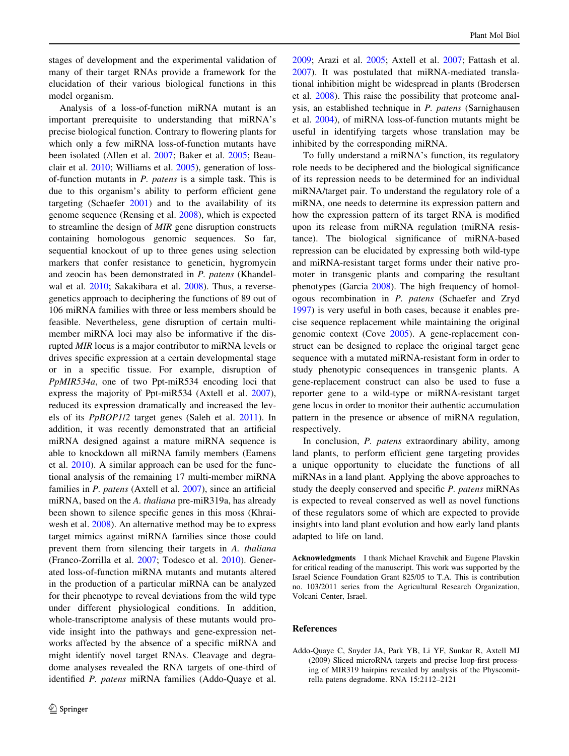<span id="page-7-0"></span>stages of development and the experimental validation of many of their target RNAs provide a framework for the elucidation of their various biological functions in this model organism.

Analysis of a loss-of-function miRNA mutant is an important prerequisite to understanding that miRNA's precise biological function. Contrary to flowering plants for which only a few miRNA loss-of-function mutants have been isolated (Allen et al. [2007](#page-8-0); Baker et al. [2005;](#page-8-0) Beauclair et al. [2010](#page-8-0); Williams et al. [2005](#page-10-0)), generation of lossof-function mutants in P. patens is a simple task. This is due to this organism's ability to perform efficient gene targeting (Schaefer  $2001$ ) and to the availability of its genome sequence (Rensing et al. [2008\)](#page-9-0), which is expected to streamline the design of MIR gene disruption constructs containing homologous genomic sequences. So far, sequential knockout of up to three genes using selection markers that confer resistance to geneticin, hygromycin and zeocin has been demonstrated in P. patens (Khandel-wal et al. [2010;](#page-9-0) Sakakibara et al. [2008\)](#page-9-0). Thus, a reversegenetics approach to deciphering the functions of 89 out of 106 miRNA families with three or less members should be feasible. Nevertheless, gene disruption of certain multimember miRNA loci may also be informative if the disrupted MIR locus is a major contributor to miRNA levels or drives specific expression at a certain developmental stage or in a specific tissue. For example, disruption of PpMIR534a, one of two Ppt-miR534 encoding loci that express the majority of Ppt-miR534 (Axtell et al. [2007](#page-8-0)), reduced its expression dramatically and increased the levels of its PpBOP1/2 target genes (Saleh et al. [2011\)](#page-9-0). In addition, it was recently demonstrated that an artificial miRNA designed against a mature miRNA sequence is able to knockdown all miRNA family members (Eamens et al. [2010\)](#page-8-0). A similar approach can be used for the functional analysis of the remaining 17 multi-member miRNA families in P. patens (Axtell et al. [2007](#page-8-0)), since an artificial miRNA, based on the A. *thaliana* pre-miR319a, has already been shown to silence specific genes in this moss (Khraiwesh et al. [2008](#page-9-0)). An alternative method may be to express target mimics against miRNA families since those could prevent them from silencing their targets in A. thaliana (Franco-Zorrilla et al. [2007;](#page-8-0) Todesco et al. [2010\)](#page-9-0). Generated loss-of-function miRNA mutants and mutants altered in the production of a particular miRNA can be analyzed for their phenotype to reveal deviations from the wild type under different physiological conditions. In addition, whole-transcriptome analysis of these mutants would provide insight into the pathways and gene-expression networks affected by the absence of a specific miRNA and might identify novel target RNAs. Cleavage and degradome analyses revealed the RNA targets of one-third of identified P. patens miRNA families (Addo-Quaye et al.

2009; Arazi et al. [2005;](#page-8-0) Axtell et al. [2007;](#page-8-0) Fattash et al. [2007](#page-8-0)). It was postulated that miRNA-mediated translational inhibition might be widespread in plants (Brodersen et al. [2008](#page-8-0)). This raise the possibility that proteome analysis, an established technique in P. patens (Sarnighausen et al. [2004\)](#page-9-0), of miRNA loss-of-function mutants might be useful in identifying targets whose translation may be inhibited by the corresponding miRNA.

To fully understand a miRNA's function, its regulatory role needs to be deciphered and the biological significance of its repression needs to be determined for an individual miRNA/target pair. To understand the regulatory role of a miRNA, one needs to determine its expression pattern and how the expression pattern of its target RNA is modified upon its release from miRNA regulation (miRNA resistance). The biological significance of miRNA-based repression can be elucidated by expressing both wild-type and miRNA-resistant target forms under their native promoter in transgenic plants and comparing the resultant phenotypes (Garcia [2008](#page-8-0)). The high frequency of homologous recombination in P. patens (Schaefer and Zryd [1997](#page-9-0)) is very useful in both cases, because it enables precise sequence replacement while maintaining the original genomic context (Cove [2005](#page-8-0)). A gene-replacement construct can be designed to replace the original target gene sequence with a mutated miRNA-resistant form in order to study phenotypic consequences in transgenic plants. A gene-replacement construct can also be used to fuse a reporter gene to a wild-type or miRNA-resistant target gene locus in order to monitor their authentic accumulation pattern in the presence or absence of miRNA regulation, respectively.

In conclusion, *P. patens* extraordinary ability, among land plants, to perform efficient gene targeting provides a unique opportunity to elucidate the functions of all miRNAs in a land plant. Applying the above approaches to study the deeply conserved and specific P. patens miRNAs is expected to reveal conserved as well as novel functions of these regulators some of which are expected to provide insights into land plant evolution and how early land plants adapted to life on land.

Acknowledgments I thank Michael Kravchik and Eugene Plavskin for critical reading of the manuscript. This work was supported by the Israel Science Foundation Grant 825/05 to T.A. This is contribution no. 103/2011 series from the Agricultural Research Organization, Volcani Center, Israel.

#### References

Addo-Quaye C, Snyder JA, Park YB, Li YF, Sunkar R, Axtell MJ (2009) Sliced microRNA targets and precise loop-first processing of MIR319 hairpins revealed by analysis of the Physcomitrella patens degradome. RNA 15:2112–2121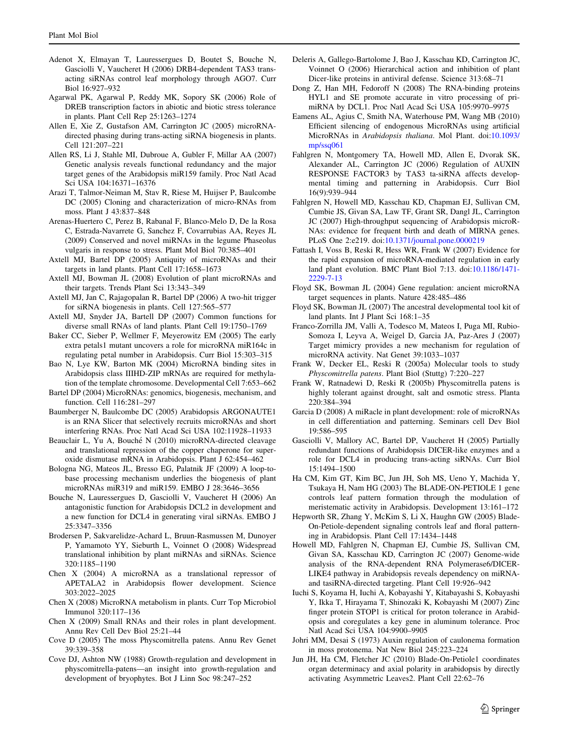- <span id="page-8-0"></span>Adenot X, Elmayan T, Lauressergues D, Boutet S, Bouche N, Gasciolli V, Vaucheret H (2006) DRB4-dependent TAS3 transacting siRNAs control leaf morphology through AGO7. Curr Biol 16:927–932
- Agarwal PK, Agarwal P, Reddy MK, Sopory SK (2006) Role of DREB transcription factors in abiotic and biotic stress tolerance in plants. Plant Cell Rep 25:1263–1274
- Allen E, Xie Z, Gustafson AM, Carrington JC (2005) microRNAdirected phasing during trans-acting siRNA biogenesis in plants. Cell 121:207–221
- Allen RS, Li J, Stahle MI, Dubroue A, Gubler F, Millar AA (2007) Genetic analysis reveals functional redundancy and the major target genes of the Arabidopsis miR159 family. Proc Natl Acad Sci USA 104:16371–16376
- Arazi T, Talmor-Neiman M, Stav R, Riese M, Huijser P, Baulcombe DC (2005) Cloning and characterization of micro-RNAs from moss. Plant J 43:837–848
- Arenas-Huertero C, Perez B, Rabanal F, Blanco-Melo D, De la Rosa C, Estrada-Navarrete G, Sanchez F, Covarrubias AA, Reyes JL (2009) Conserved and novel miRNAs in the legume Phaseolus vulgaris in response to stress. Plant Mol Biol 70:385–401
- Axtell MJ, Bartel DP (2005) Antiquity of microRNAs and their targets in land plants. Plant Cell 17:1658–1673
- Axtell MJ, Bowman JL (2008) Evolution of plant microRNAs and their targets. Trends Plant Sci 13:343–349
- Axtell MJ, Jan C, Rajagopalan R, Bartel DP (2006) A two-hit trigger for siRNA biogenesis in plants. Cell 127:565–577
- Axtell MJ, Snyder JA, Bartell DP (2007) Common functions for diverse small RNAs of land plants. Plant Cell 19:1750–1769
- Baker CC, Sieber P, Wellmer F, Meyerowitz EM (2005) The early extra petals1 mutant uncovers a role for microRNA miR164c in regulating petal number in Arabidopsis. Curr Biol 15:303–315
- Bao N, Lye KW, Barton MK (2004) MicroRNA binding sites in Arabidopsis class IIIHD-ZIP mRNAs are required for methylation of the template chromosome. Developmental Cell 7:653–662
- Bartel DP (2004) MicroRNAs: genomics, biogenesis, mechanism, and function. Cell 116:281–297
- Baumberger N, Baulcombe DC (2005) Arabidopsis ARGONAUTE1 is an RNA Slicer that selectively recruits microRNAs and short interfering RNAs. Proc Natl Acad Sci USA 102:11928–11933
- Beauclair L, Yu A, Bouché N (2010) microRNA-directed cleavage and translational repression of the copper chaperone for superoxide dismutase mRNA in Arabidopsis. Plant J 62:454–462
- Bologna NG, Mateos JL, Bresso EG, Palatnik JF (2009) A loop-tobase processing mechanism underlies the biogenesis of plant microRNAs miR319 and miR159. EMBO J 28:3646–3656
- Bouche N, Lauressergues D, Gasciolli V, Vaucheret H (2006) An antagonistic function for Arabidopsis DCL2 in development and a new function for DCL4 in generating viral siRNAs. EMBO J 25:3347–3356
- Brodersen P, Sakvarelidze-Achard L, Bruun-Rasmussen M, Dunoyer P, Yamamoto YY, Sieburth L, Voinnet O (2008) Widespread translational inhibition by plant miRNAs and siRNAs. Science 320:1185–1190
- Chen X (2004) A microRNA as a translational repressor of APETALA2 in Arabidopsis flower development. Science 303:2022–2025
- Chen X (2008) MicroRNA metabolism in plants. Curr Top Microbiol Immunol 320:117–136
- Chen X (2009) Small RNAs and their roles in plant development. Annu Rev Cell Dev Biol 25:21–44
- Cove D (2005) The moss Physcomitrella patens. Annu Rev Genet 39:339–358
- Cove DJ, Ashton NW (1988) Growth-regulation and development in physcomitrella-patens—an insight into growth-regulation and development of bryophytes. Bot J Linn Soc 98:247–252
- Deleris A, Gallego-Bartolome J, Bao J, Kasschau KD, Carrington JC, Voinnet O (2006) Hierarchical action and inhibition of plant Dicer-like proteins in antiviral defense. Science 313:68–71
- Dong Z, Han MH, Fedoroff N (2008) The RNA-binding proteins HYL1 and SE promote accurate in vitro processing of primiRNA by DCL1. Proc Natl Acad Sci USA 105:9970–9975
- Eamens AL, Agius C, Smith NA, Waterhouse PM, Wang MB (2010) Efficient silencing of endogenous MicroRNAs using artificial MicroRNAs in Arabidopsis thaliana. Mol Plant. doi[:10.1093/](http://dx.doi.org/10.1093/mp/ssq061) [mp/ssq061](http://dx.doi.org/10.1093/mp/ssq061)
- Fahlgren N, Montgomery TA, Howell MD, Allen E, Dvorak SK, Alexander AL, Carrington JC (2006) Regulation of AUXIN RESPONSE FACTOR3 by TAS3 ta-siRNA affects developmental timing and patterning in Arabidopsis. Curr Biol 16(9):939–944
- Fahlgren N, Howell MD, Kasschau KD, Chapman EJ, Sullivan CM, Cumbie JS, Givan SA, Law TF, Grant SR, Dangl JL, Carrington JC (2007) High-throughput sequencing of Arabidopsis microR-NAs: evidence for frequent birth and death of MIRNA genes. PLoS One 2:e219. doi:[10.1371/journal.pone.0000219](http://dx.doi.org/10.1371/journal.pone.0000219)
- Fattash I, Voss B, Reski R, Hess WR, Frank W (2007) Evidence for the rapid expansion of microRNA-mediated regulation in early land plant evolution. BMC Plant Biol 7:13. doi:[10.1186/1471-](http://dx.doi.org/10.1186/1471-2229-7-13) [2229-7-13](http://dx.doi.org/10.1186/1471-2229-7-13)
- Floyd SK, Bowman JL (2004) Gene regulation: ancient microRNA target sequences in plants. Nature 428:485–486
- Floyd SK, Bowman JL (2007) The ancestral developmental tool kit of land plants. Int J Plant Sci 168:1–35
- Franco-Zorrilla JM, Valli A, Todesco M, Mateos I, Puga MI, Rubio-Somoza I, Leyva A, Weigel D, Garcia JA, Paz-Ares J (2007) Target mimicry provides a new mechanism for regulation of microRNA activity. Nat Genet 39:1033–1037
- Frank W, Decker EL, Reski R (2005a) Molecular tools to study Physcomitrella patens. Plant Biol (Stuttg) 7:220–227
- Frank W, Ratnadewi D, Reski R (2005b) Physcomitrella patens is highly tolerant against drought, salt and osmotic stress. Planta 220:384–394
- Garcia D (2008) A miRacle in plant development: role of microRNAs in cell differentiation and patterning. Seminars cell Dev Biol 19:586–595
- Gasciolli V, Mallory AC, Bartel DP, Vaucheret H (2005) Partially redundant functions of Arabidopsis DICER-like enzymes and a role for DCL4 in producing trans-acting siRNAs. Curr Biol 15:1494–1500
- Ha CM, Kim GT, Kim BC, Jun JH, Soh MS, Ueno Y, Machida Y, Tsukaya H, Nam HG (2003) The BLADE-ON-PETIOLE 1 gene controls leaf pattern formation through the modulation of meristematic activity in Arabidopsis. Development 13:161–172
- Hepworth SR, Zhang Y, McKim S, Li X, Haughn GW (2005) Blade-On-Petiole-dependent signaling controls leaf and floral patterning in Arabidopsis. Plant Cell 17:1434–1448
- Howell MD, Fahlgren N, Chapman EJ, Cumbie JS, Sullivan CM, Givan SA, Kasschau KD, Carrington JC (2007) Genome-wide analysis of the RNA-dependent RNA Polymerase6/DICER-LIKE4 pathway in Arabidopsis reveals dependency on miRNAand tasiRNA-directed targeting. Plant Cell 19:926–942
- Iuchi S, Koyama H, Iuchi A, Kobayashi Y, Kitabayashi S, Kobayashi Y, Ikka T, Hirayama T, Shinozaki K, Kobayashi M (2007) Zinc finger protein STOP1 is critical for proton tolerance in Arabidopsis and coregulates a key gene in aluminum tolerance. Proc Natl Acad Sci USA 104:9900–9905
- Johri MM, Desai S (1973) Auxin regulation of caulonema formation in moss protonema. Nat New Biol 245:223–224
- Jun JH, Ha CM, Fletcher JC (2010) Blade-On-Petiole1 coordinates organ determinacy and axial polarity in arabidopsis by directly activating Asymmetric Leaves2. Plant Cell 22:62–76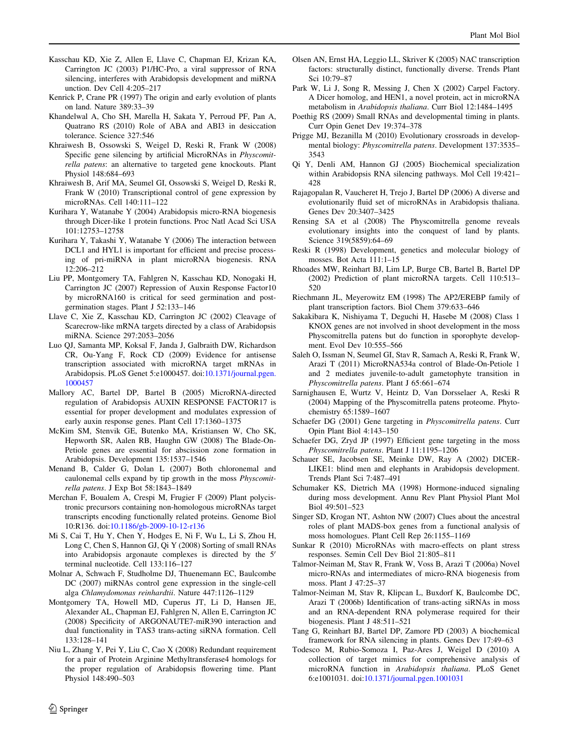- <span id="page-9-0"></span>Kasschau KD, Xie Z, Allen E, Llave C, Chapman EJ, Krizan KA, Carrington JC (2003) P1/HC-Pro, a viral suppressor of RNA silencing, interferes with Arabidopsis development and miRNA unction. Dev Cell 4:205–217
- Kenrick P, Crane PR (1997) The origin and early evolution of plants on land. Nature 389:33–39
- Khandelwal A, Cho SH, Marella H, Sakata Y, Perroud PF, Pan A, Quatrano RS (2010) Role of ABA and ABI3 in desiccation tolerance. Science 327:546
- Khraiwesh B, Ossowski S, Weigel D, Reski R, Frank W (2008) Specific gene silencing by artificial MicroRNAs in Physcomitrella patens: an alternative to targeted gene knockouts. Plant Physiol 148:684–693
- Khraiwesh B, Arif MA, Seumel GI, Ossowski S, Weigel D, Reski R, Frank W (2010) Transcriptional control of gene expression by microRNAs. Cell 140:111–122
- Kurihara Y, Watanabe Y (2004) Arabidopsis micro-RNA biogenesis through Dicer-like 1 protein functions. Proc Natl Acad Sci USA 101:12753–12758
- Kurihara Y, Takashi Y, Watanabe Y (2006) The interaction between DCL1 and HYL1 is important for efficient and precise processing of pri-miRNA in plant microRNA biogenesis. RNA 12:206–212
- Liu PP, Montgomery TA, Fahlgren N, Kasschau KD, Nonogaki H, Carrington JC (2007) Repression of Auxin Response Factor10 by microRNA160 is critical for seed germination and postgermination stages. Plant J 52:133–146
- Llave C, Xie Z, Kasschau KD, Carrington JC (2002) Cleavage of Scarecrow-like mRNA targets directed by a class of Arabidopsis miRNA. Science 297:2053–2056
- Luo QJ, Samanta MP, Koksal F, Janda J, Galbraith DW, Richardson CR, Ou-Yang F, Rock CD (2009) Evidence for antisense transcription associated with microRNA target mRNAs in Arabidopsis. PLoS Genet 5:e1000457. doi[:10.1371/journal.pgen.](http://dx.doi.org/10.1371/journal.pgen.1000457) [1000457](http://dx.doi.org/10.1371/journal.pgen.1000457)
- Mallory AC, Bartel DP, Bartel B (2005) MicroRNA-directed regulation of Arabidopsis AUXIN RESPONSE FACTOR17 is essential for proper development and modulates expression of early auxin response genes. Plant Cell 17:1360–1375
- McKim SM, Stenvik GE, Butenko MA, Kristiansen W, Cho SK, Hepworth SR, Aalen RB, Haughn GW (2008) The Blade-On-Petiole genes are essential for abscission zone formation in Arabidopsis. Development 135:1537–1546
- Menand B, Calder G, Dolan L (2007) Both chloronemal and caulonemal cells expand by tip growth in the moss Physcomitrella patens. J Exp Bot 58:1843–1849
- Merchan F, Boualem A, Crespi M, Frugier F (2009) Plant polycistronic precursors containing non-homologous microRNAs target transcripts encoding functionally related proteins. Genome Biol 10:R136. doi[:10.1186/gb-2009-10-12-r136](http://dx.doi.org/10.1186/gb-2009-10-12-r136)
- Mi S, Cai T, Hu Y, Chen Y, Hodges E, Ni F, Wu L, Li S, Zhou H, Long C, Chen S, Hannon GJ, Qi Y (2008) Sorting of small RNAs into Arabidopsis argonaute complexes is directed by the  $5<sup>′</sup>$ terminal nucleotide. Cell 133:116–127
- Molnar A, Schwach F, Studholme DJ, Thuenemann EC, Baulcombe DC (2007) miRNAs control gene expression in the single-cell alga Chlamydomonas reinhardtii. Nature 447:1126–1129
- Montgomery TA, Howell MD, Cuperus JT, Li D, Hansen JE, Alexander AL, Chapman EJ, Fahlgren N, Allen E, Carrington JC (2008) Specificity of ARGONAUTE7-miR390 interaction and dual functionality in TAS3 trans-acting siRNA formation. Cell 133:128–141
- Niu L, Zhang Y, Pei Y, Liu C, Cao X (2008) Redundant requirement for a pair of Protein Arginine Methyltransferase4 homologs for the proper regulation of Arabidopsis flowering time. Plant Physiol 148:490–503
- Olsen AN, Ernst HA, Leggio LL, Skriver K (2005) NAC transcription factors: structurally distinct, functionally diverse. Trends Plant Sci 10:79–87
- Park W, Li J, Song R, Messing J, Chen X (2002) Carpel Factory. A Dicer homolog, and HEN1, a novel protein, act in microRNA metabolism in Arabidopsis thaliana. Curr Biol 12:1484–1495
- Poethig RS (2009) Small RNAs and developmental timing in plants. Curr Opin Genet Dev 19:374–378
- Prigge MJ, Bezanilla M (2010) Evolutionary crossroads in developmental biology: Physcomitrella patens. Development 137:3535– 3543
- Qi Y, Denli AM, Hannon GJ (2005) Biochemical specialization within Arabidopsis RNA silencing pathways. Mol Cell 19:421– 428
- Rajagopalan R, Vaucheret H, Trejo J, Bartel DP (2006) A diverse and evolutionarily fluid set of microRNAs in Arabidopsis thaliana. Genes Dev 20:3407–3425
- Rensing SA et al (2008) The Physcomitrella genome reveals evolutionary insights into the conquest of land by plants. Science 319(5859):64–69
- Reski R (1998) Development, genetics and molecular biology of mosses. Bot Acta 111:1–15
- Rhoades MW, Reinhart BJ, Lim LP, Burge CB, Bartel B, Bartel DP (2002) Prediction of plant microRNA targets. Cell 110:513– 520
- Riechmann JL, Meyerowitz EM (1998) The AP2/EREBP family of plant transcription factors. Biol Chem 379:633–646
- Sakakibara K, Nishiyama T, Deguchi H, Hasebe M (2008) Class 1 KNOX genes are not involved in shoot development in the moss Physcomitrella patens but do function in sporophyte development. Evol Dev 10:555–566
- Saleh O, Issman N, Seumel GI, Stav R, Samach A, Reski R, Frank W, Arazi T (2011) MicroRNA534a control of Blade-On-Petiole 1 and 2 mediates juvenile-to-adult gametophyte transition in Physcomitrella patens. Plant J 65:661–674
- Sarnighausen E, Wurtz V, Heintz D, Van Dorsselaer A, Reski R (2004) Mapping of the Physcomitrella patens proteome. Phytochemistry 65:1589–1607
- Schaefer DG (2001) Gene targeting in Physcomitrella patens. Curr Opin Plant Biol 4:143–150
- Schaefer DG, Zryd JP (1997) Efficient gene targeting in the moss Physcomitrella patens. Plant J 11:1195–1206
- Schauer SE, Jacobsen SE, Meinke DW, Ray A (2002) DICER-LIKE1: blind men and elephants in Arabidopsis development. Trends Plant Sci 7:487–491
- Schumaker KS, Dietrich MA (1998) Hormone-induced signaling during moss development. Annu Rev Plant Physiol Plant Mol Biol 49:501–523
- Singer SD, Krogan NT, Ashton NW (2007) Clues about the ancestral roles of plant MADS-box genes from a functional analysis of moss homologues. Plant Cell Rep 26:1155–1169
- Sunkar R (2010) MicroRNAs with macro-effects on plant stress responses. Semin Cell Dev Biol 21:805–811
- Talmor-Neiman M, Stav R, Frank W, Voss B, Arazi T (2006a) Novel micro-RNAs and intermediates of micro-RNA biogenesis from moss. Plant J 47:25–37
- Talmor-Neiman M, Stav R, Klipcan L, Buxdorf K, Baulcombe DC, Arazi T (2006b) Identification of trans-acting siRNAs in moss and an RNA-dependent RNA polymerase required for their biogenesis. Plant J 48:511–521
- Tang G, Reinhart BJ, Bartel DP, Zamore PD (2003) A biochemical framework for RNA silencing in plants. Genes Dev 17:49–63
- Todesco M, Rubio-Somoza I, Paz-Ares J, Weigel D (2010) A collection of target mimics for comprehensive analysis of microRNA function in Arabidopsis thaliana. PLoS Genet 6:e1001031. doi[:10.1371/journal.pgen.1001031](http://dx.doi.org/10.1371/journal.pgen.1001031)